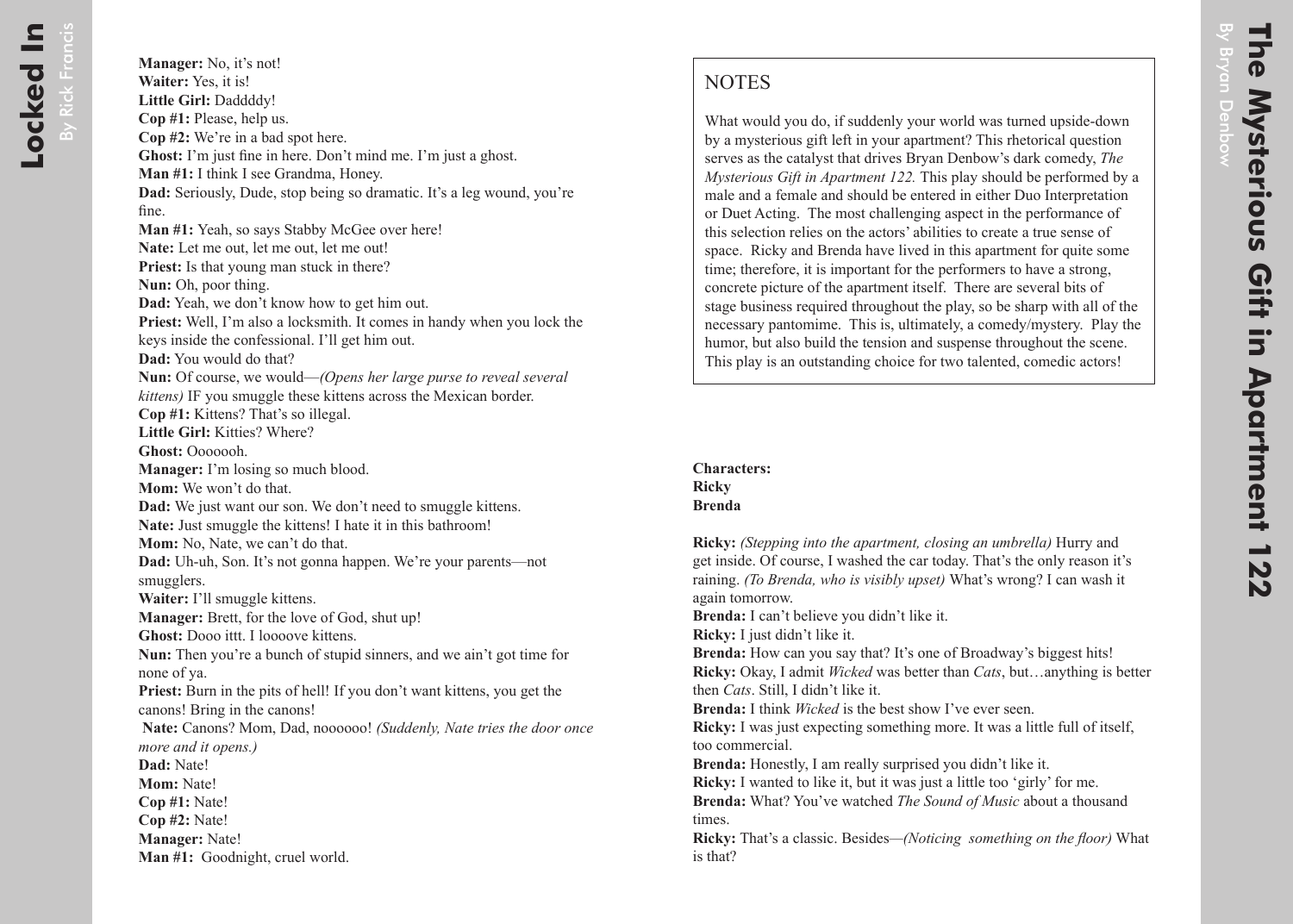What would you do, if suddenly your world was turned upside-down by a mysterious gift left in your apartment? This rhetorical question serves as the catalyst that drives Bryan Denbow's dark comedy, *The Mysterious Gift in Apartment 122.* This play should be performed by a male and a female and should be entered in either Duo Interpretation or Duet Acting. The most challenging aspect in the performance of this selection relies on the actors' abilities to create a true sense of space. Ricky and Brenda have lived in this apartment for quite some time; therefore, it is important for the performers to have a strong, concrete picture of the apartment itself. There are several bits of stage business required throughout the play, so be sharp with all of the necessary pantomime. This is, ultimately, a comedy/mystery. Play the humor, but also build the tension and suspense throughout the scene. This play is an outstanding choice for two talented, comedic actors!

## **Characters: Ricky Brenda**

**Ricky:** *(Stepping into the apartment, closing an umbrella)* Hurry and get inside. Of course, I washed the car today. That's the only reason it's raining. *(To Brenda, who is visibly upset)* What's wrong? I can wash it again tomorrow.

**Brenda:** I can't believe you didn't like it.

**Ricky:** I just didn't like it.

**Brenda:** How can you say that? It's one of Broadway's biggest hits! **Ricky:** Okay, I admit *Wicked* was better than *Cats*, but…anything is better then *Cats*. Still, I didn't like it.

**Brenda:** I think *Wicked* is the best show I've ever seen.

**Ricky:** I was just expecting something more. It was a little full of itself, too commercial.

**Brenda:** Honestly, I am really surprised you didn't like it.

**Ricky:** I wanted to like it, but it was just a little too 'girly' for me.

**Brenda:** What? You've watched *The Sound of Music* about a thousand times.

**Ricky:** That's a classic. Besides*—(Noticing something on the floor)* What is that?

By Bryan Denbow

ryan Denbow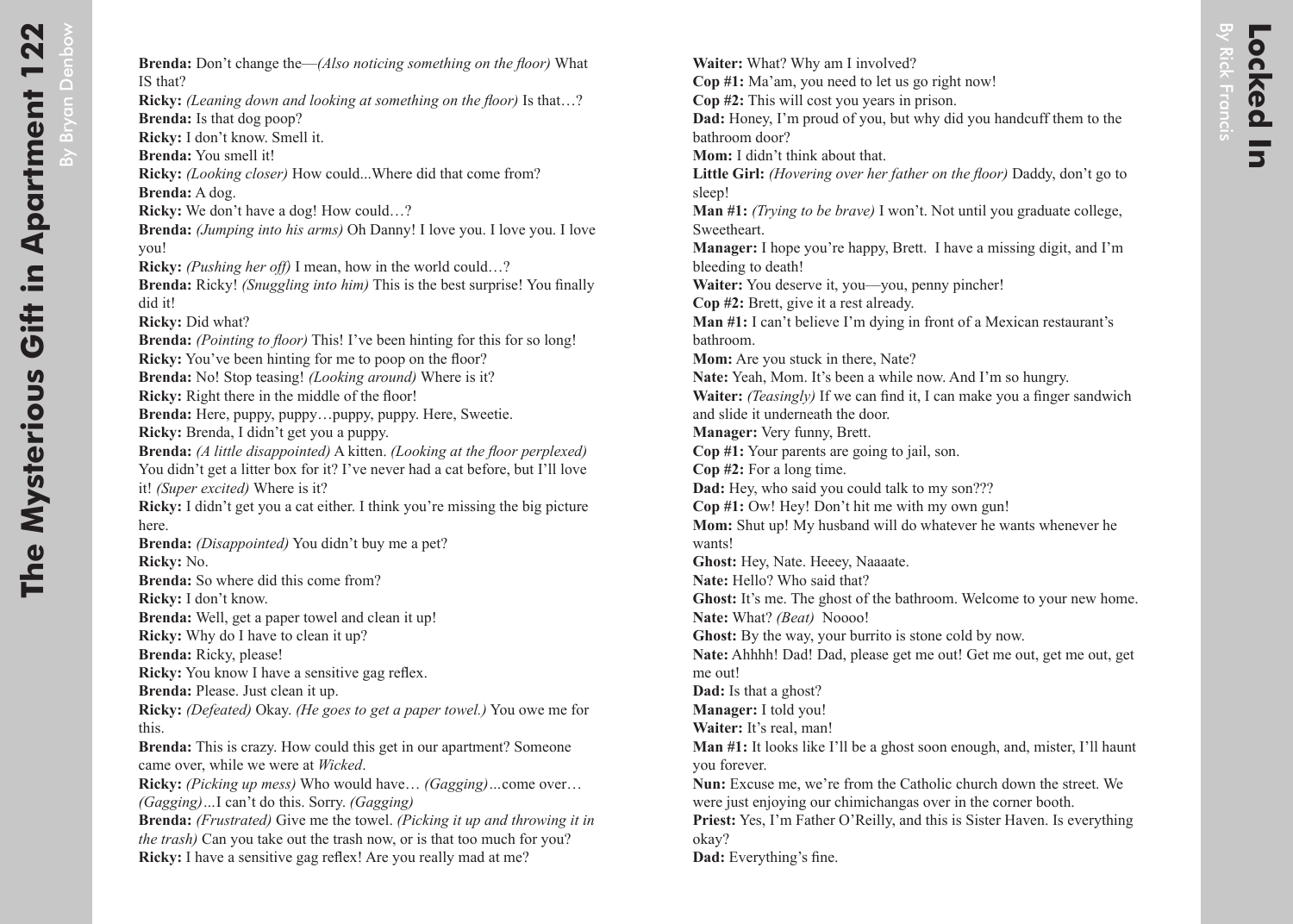By Bryan Denbow

**Brenda:** Don't change the—*(Also noticing something on the floor)* What IS that? **Ricky:** *(Leaning down and looking at something on the floor)* Is that…? **Brenda:** Is that dog poop? **Ricky:** I don't know. Smell it. **Brenda:** You smell it! **Ricky:** *(Looking closer)* How could...Where did that come from? **Brenda:** A dog. **Ricky:** We don't have a dog! How could...? **Brenda:** *(Jumping into his arms)* Oh Danny! I love you. I love you. I love you! **Ricky:** *(Pushing her off)* I mean, how in the world could…? **Brenda:** Ricky! *(Snuggling into him)* This is the best surprise! You finally did it! **Ricky:** Did what? **Brenda:** *(Pointing to floor)* This! I've been hinting for this for so long! **Ricky:** You've been hinting for me to poop on the floor? **Brenda:** No! Stop teasing! *(Looking around)* Where is it? **Ricky:** Right there in the middle of the floor! **Brenda:** Here, puppy, puppy…puppy, puppy. Here, Sweetie. **Ricky:** Brenda, I didn't get you a puppy. **Brenda:** *(A little disappointed)* A kitten. *(Looking at the floor perplexed)* You didn't get a litter box for it? I've never had a cat before, but I'll love it! *(Super excited)* Where is it? **Ricky:** I didn't get you a cat either. I think you're missing the big picture here. **Brenda:** *(Disappointed)* You didn't buy me a pet? **Ricky:** No. **Brenda:** So where did this come from? **Ricky:** I don't know. **Brenda:** Well, get a paper towel and clean it up! **Ricky:** Why do I have to clean it up? **Brenda:** Ricky, please! **Ricky:** You know I have a sensitive gag reflex. **Brenda:** Please. Just clean it up. **Ricky:** *(Defeated)* Okay. *(He goes to get a paper towel.)* You owe me for this. **Brenda:** This is crazy. How could this get in our apartment? Someone came over, while we were at *Wicked*.

**Ricky:** *(Picking up mess)* Who would have… *(Gagging)…*come over… *(Gagging)…*I can't do this. Sorry. *(Gagging)*

**Brenda:** *(Frustrated)* Give me the towel. *(Picking it up and throwing it in the trash)* Can you take out the trash now, or is that too much for you? **Ricky:** I have a sensitive gag reflex! Are you really mad at me?